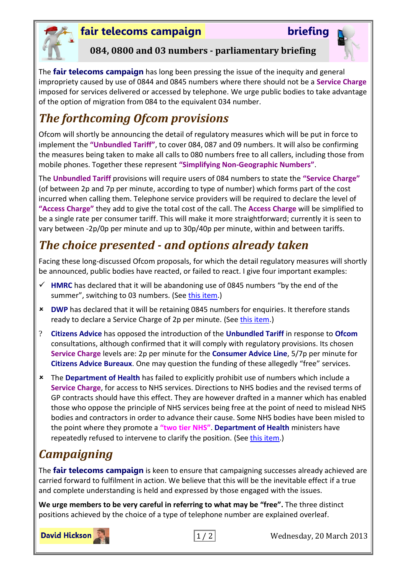

## **fair telecoms campaign briefing**



## **084, 0800 and 03 numbers - parliamentary briefing**

The **fair telecoms campaign** has long been pressing the issue of the inequity and general impropriety caused by use of 0844 and 0845 numbers where there should not be a **Service Charge** imposed for services delivered or accessed by telephone. We urge public bodies to take advantage of the option of migration from 084 to the equivalent 034 number.

# *The forthcoming Ofcom provisions*

Ofcom will shortly be announcing the detail of regulatory measures which will be put in force to implement the **"Unbundled Tariff"**, to cover 084, 087 and 09 numbers. It will also be confirming the measures being taken to make all calls to 080 numbers free to all callers, including those from mobile phones. Together these represent **"Simplifying Non-Geographic Numbers"**.

The **Unbundled Tariff** provisions will require users of 084 numbers to state the **"Service Charge"** (of between 2p and 7p per minute, according to type of number) which forms part of the cost incurred when calling them. Telephone service providers will be required to declare the level of **"Access Charge"** they add to give the total cost of the call. The **Access Charge** will be simplified to be a single rate per consumer tariff. This will make it more straightforward; currently it is seen to vary between -2p/0p per minute and up to 30p/40p per minute, within and between tariffs.

# *The choice presented - and options already taken*

Facing these long-discussed Ofcom proposals, for which the detail regulatory measures will shortly be announced, public bodies have reacted, or failed to react. I give four important examples:

- **HMRC** has declared that it will be abandoning use of 0845 numbers "by the end of the summer", switching to 03 numbers. (See [this item.](http://www.fairtelecoms.org.uk/uploads/1/1/4/5/11456053/hmrc_announces_end_of_0845.pdf))
- **DWP** has declared that it will be retaining 0845 numbers for enquiries. It therefore stands ready to declare a Service Charge of 2p per minute. (See [this item.](http://www.fairtelecoms.org.uk/uploads/1/1/4/5/11456053/dwp_retains_0845.pdf))
- ? **Citizens Advice** has opposed the introduction of the **Unbundled Tariff** in response to **Ofcom** consultations, although confirmed that it will comply with regulatory provisions. Its chosen **Service Charge** levels are: 2p per minute for the **Consumer Advice Line**, 5/7p per minute for **Citizens Advice Bureaux**. One may question the funding of these allegedly "free" services.
- The **Department of Health** has failed to explicitly prohibit use of numbers which include a **Service Charge**, for access to NHS services. Directions to NHS bodies and the revised terms of GP contracts should have this effect. They are however drafted in a manner which has enabled those who oppose the principle of NHS services being free at the point of need to mislead NHS bodies and contractors in order to advance their cause. Some NHS bodies have been misled to the point where they promote a **"two tier NHS"**. **Department of Health** ministers have repeatedly refused to intervene to clarify the position. (See [this item.](http://www.fairtelecoms.org.uk/1/post/2012/10/poulter-jobsworth.html))

# *Campaigning*

The **fair telecoms campaign** is keen to ensure that campaigning successes already achieved are carried forward to fulfilment in action. We believe that this will be the inevitable effect if a true and complete understanding is held and expressed by those engaged with the issues.

**We urge members to be very careful in referring to what may be "free".** The three distinct positions achieved by the choice of a type of telephone number are explained overleaf.

**David Hickson** 



1 / 2 Wednesday, 20 March 2013